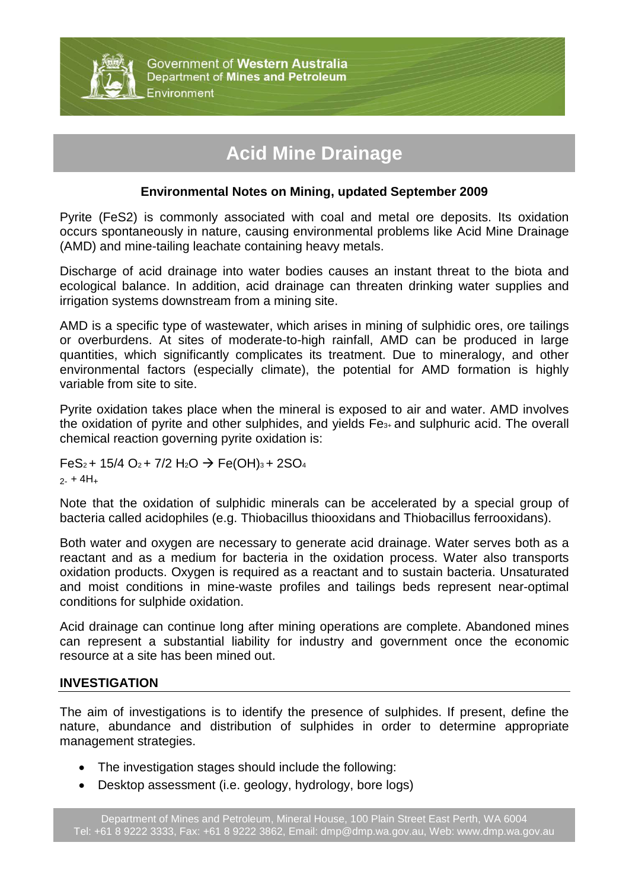

# **Acid Mine Drainage**

### **Environmental Notes on Mining, updated September 2009**

Pyrite (FeS2) is commonly associated with coal and metal ore deposits. Its oxidation occurs spontaneously in nature, causing environmental problems like Acid Mine Drainage (AMD) and mine-tailing leachate containing heavy metals.

Discharge of acid drainage into water bodies causes an instant threat to the biota and ecological balance. In addition, acid drainage can threaten drinking water supplies and irrigation systems downstream from a mining site.

AMD is a specific type of wastewater, which arises in mining of sulphidic ores, ore tailings or overburdens. At sites of moderate-to-high rainfall, AMD can be produced in large quantities, which significantly complicates its treatment. Due to mineralogy, and other environmental factors (especially climate), the potential for AMD formation is highly variable from site to site.

Pyrite oxidation takes place when the mineral is exposed to air and water. AMD involves the oxidation of pyrite and other sulphides, and yields Fe3+ and sulphuric acid. The overall chemical reaction governing pyrite oxidation is:

 $FeS<sub>2</sub> + 15/4 O<sub>2</sub> + 7/2 H<sub>2</sub>O \rightarrow Fe(OH)<sub>3</sub> + 2SO<sub>4</sub>$  $2 - + 4H<sub>+</sub>$ 

Note that the oxidation of sulphidic minerals can be accelerated by a special group of bacteria called acidophiles (e.g. Thiobacillus thiooxidans and Thiobacillus ferrooxidans).

Both water and oxygen are necessary to generate acid drainage. Water serves both as a reactant and as a medium for bacteria in the oxidation process. Water also transports oxidation products. Oxygen is required as a reactant and to sustain bacteria. Unsaturated and moist conditions in mine-waste profiles and tailings beds represent near-optimal conditions for sulphide oxidation.

Acid drainage can continue long after mining operations are complete. Abandoned mines can represent a substantial liability for industry and government once the economic resource at a site has been mined out.

#### **INVESTIGATION**

The aim of investigations is to identify the presence of sulphides. If present, define the nature, abundance and distribution of sulphides in order to determine appropriate management strategies.

- The investigation stages should include the following:
- Desktop assessment (i.e. geology, hydrology, bore logs)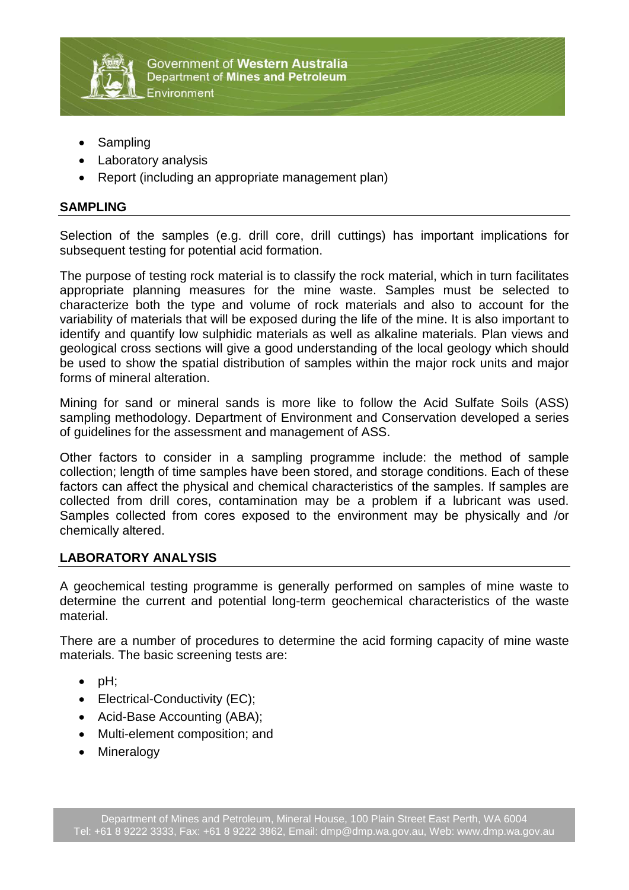

- Sampling
- Laboratory analysis
- Report (including an appropriate management plan)

## **SAMPLING**

Selection of the samples (e.g. drill core, drill cuttings) has important implications for subsequent testing for potential acid formation.

The purpose of testing rock material is to classify the rock material, which in turn facilitates appropriate planning measures for the mine waste. Samples must be selected to characterize both the type and volume of rock materials and also to account for the variability of materials that will be exposed during the life of the mine. It is also important to identify and quantify low sulphidic materials as well as alkaline materials. Plan views and geological cross sections will give a good understanding of the local geology which should be used to show the spatial distribution of samples within the major rock units and major forms of mineral alteration.

Mining for sand or mineral sands is more like to follow the Acid Sulfate Soils (ASS) sampling methodology. Department of Environment and Conservation developed a series of guidelines for the assessment and management of ASS.

Other factors to consider in a sampling programme include: the method of sample collection; length of time samples have been stored, and storage conditions. Each of these factors can affect the physical and chemical characteristics of the samples. If samples are collected from drill cores, contamination may be a problem if a lubricant was used. Samples collected from cores exposed to the environment may be physically and /or chemically altered.

## **LABORATORY ANALYSIS**

A geochemical testing programme is generally performed on samples of mine waste to determine the current and potential long-term geochemical characteristics of the waste material.

There are a number of procedures to determine the acid forming capacity of mine waste materials. The basic screening tests are:

- $\bullet$  pH:
- Electrical-Conductivity (EC);
- Acid-Base Accounting (ABA);
- Multi-element composition; and
- Mineralogy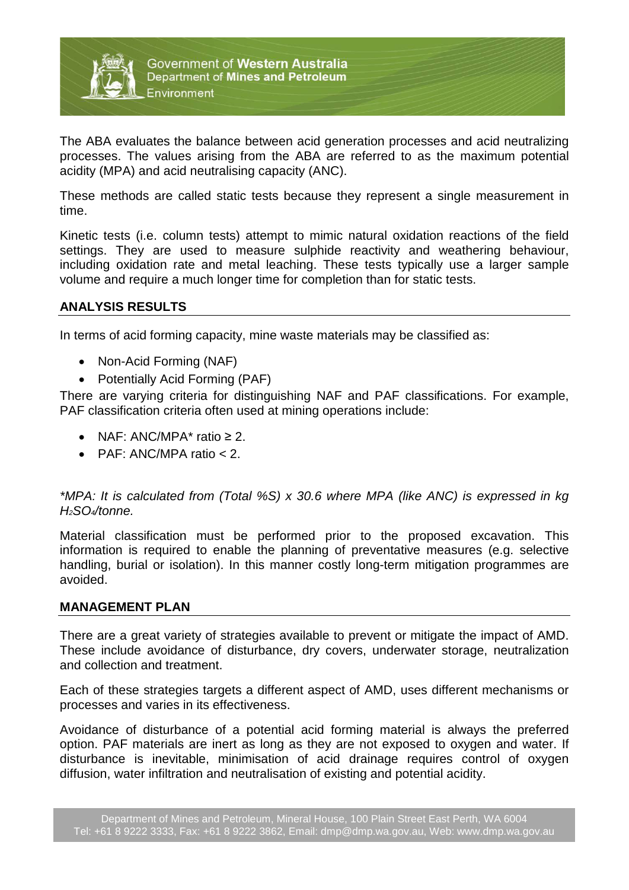

The ABA evaluates the balance between acid generation processes and acid neutralizing processes. The values arising from the ABA are referred to as the maximum potential acidity (MPA) and acid neutralising capacity (ANC).

These methods are called static tests because they represent a single measurement in time.

Kinetic tests (i.e. column tests) attempt to mimic natural oxidation reactions of the field settings. They are used to measure sulphide reactivity and weathering behaviour, including oxidation rate and metal leaching. These tests typically use a larger sample volume and require a much longer time for completion than for static tests.

## **ANALYSIS RESULTS**

In terms of acid forming capacity, mine waste materials may be classified as:

- Non-Acid Forming (NAF)
- Potentially Acid Forming (PAF)

There are varying criteria for distinguishing NAF and PAF classifications. For example, PAF classification criteria often used at mining operations include:

- NAF: ANC/MPA $*$  ratio  $\geq 2$ .
- PAF: ANC/MPA ratio < 2.

## *\*MPA: It is calculated from (Total %S) x 30.6 where MPA (like ANC) is expressed in kg H2SO4/tonne.*

Material classification must be performed prior to the proposed excavation. This information is required to enable the planning of preventative measures (e.g. selective handling, burial or isolation). In this manner costly long-term mitigation programmes are avoided.

#### **MANAGEMENT PLAN**

There are a great variety of strategies available to prevent or mitigate the impact of AMD. These include avoidance of disturbance, dry covers, underwater storage, neutralization and collection and treatment.

Each of these strategies targets a different aspect of AMD, uses different mechanisms or processes and varies in its effectiveness.

Avoidance of disturbance of a potential acid forming material is always the preferred option. PAF materials are inert as long as they are not exposed to oxygen and water. If disturbance is inevitable, minimisation of acid drainage requires control of oxygen diffusion, water infiltration and neutralisation of existing and potential acidity.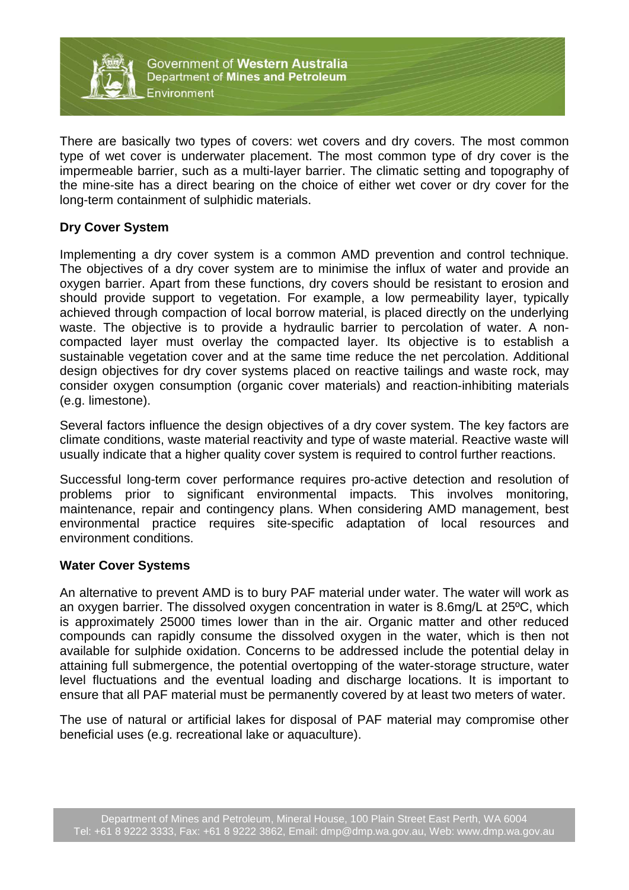

There are basically two types of covers: wet covers and dry covers. The most common type of wet cover is underwater placement. The most common type of dry cover is the impermeable barrier, such as a multi-layer barrier. The climatic setting and topography of the mine-site has a direct bearing on the choice of either wet cover or dry cover for the long-term containment of sulphidic materials.

## **Dry Cover System**

Implementing a dry cover system is a common AMD prevention and control technique. The objectives of a dry cover system are to minimise the influx of water and provide an oxygen barrier. Apart from these functions, dry covers should be resistant to erosion and should provide support to vegetation. For example, a low permeability layer, typically achieved through compaction of local borrow material, is placed directly on the underlying waste. The objective is to provide a hydraulic barrier to percolation of water. A noncompacted layer must overlay the compacted layer. Its objective is to establish a sustainable vegetation cover and at the same time reduce the net percolation. Additional design objectives for dry cover systems placed on reactive tailings and waste rock, may consider oxygen consumption (organic cover materials) and reaction-inhibiting materials (e.g. limestone).

Several factors influence the design objectives of a dry cover system. The key factors are climate conditions, waste material reactivity and type of waste material. Reactive waste will usually indicate that a higher quality cover system is required to control further reactions.

Successful long-term cover performance requires pro-active detection and resolution of problems prior to significant environmental impacts. This involves monitoring, maintenance, repair and contingency plans. When considering AMD management, best environmental practice requires site-specific adaptation of local resources and environment conditions.

#### **Water Cover Systems**

An alternative to prevent AMD is to bury PAF material under water. The water will work as an oxygen barrier. The dissolved oxygen concentration in water is 8.6mg/L at 25ºC, which is approximately 25000 times lower than in the air. Organic matter and other reduced compounds can rapidly consume the dissolved oxygen in the water, which is then not available for sulphide oxidation. Concerns to be addressed include the potential delay in attaining full submergence, the potential overtopping of the water-storage structure, water level fluctuations and the eventual loading and discharge locations. It is important to ensure that all PAF material must be permanently covered by at least two meters of water.

The use of natural or artificial lakes for disposal of PAF material may compromise other beneficial uses (e.g. recreational lake or aquaculture).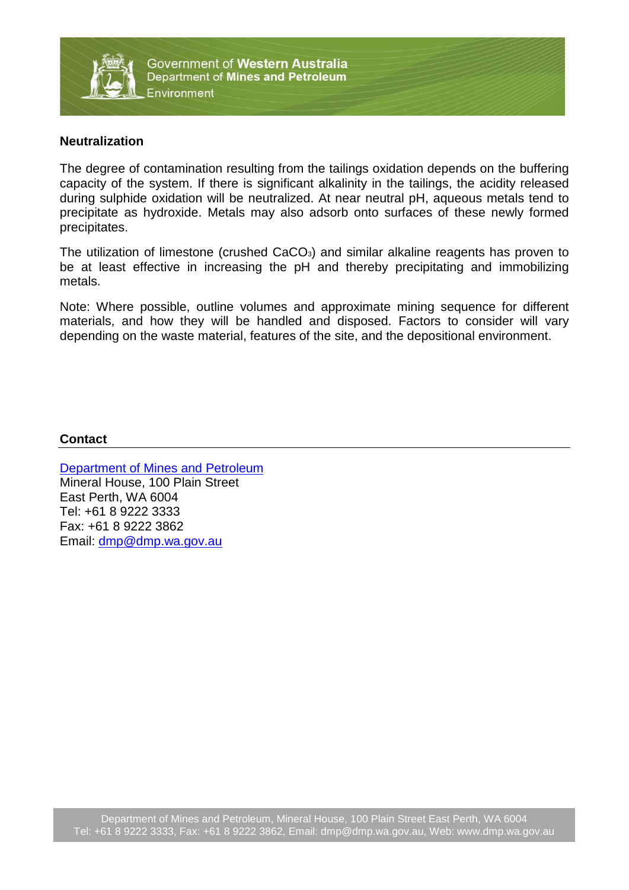

#### **Neutralization**

The degree of contamination resulting from the tailings oxidation depends on the buffering capacity of the system. If there is significant alkalinity in the tailings, the acidity released during sulphide oxidation will be neutralized. At near neutral pH, aqueous metals tend to precipitate as hydroxide. Metals may also adsorb onto surfaces of these newly formed precipitates.

The utilization of limestone (crushed CaCO<sub>3</sub>) and similar alkaline reagents has proven to be at least effective in increasing the pH and thereby precipitating and immobilizing metals.

Note: Where possible, outline volumes and approximate mining sequence for different materials, and how they will be handled and disposed. Factors to consider will vary depending on the waste material, features of the site, and the depositional environment.

#### **Contact**

[Department of Mines and Petroleum](http://www.dmp.wa.gov.au/) Mineral House, 100 Plain Street East Perth, WA 6004 Tel: +61 8 9222 3333 Fax: +61 8 9222 3862 Email: [dmp@dmp.wa.gov.au](mailto:dmp@dmp.wa.gov.au)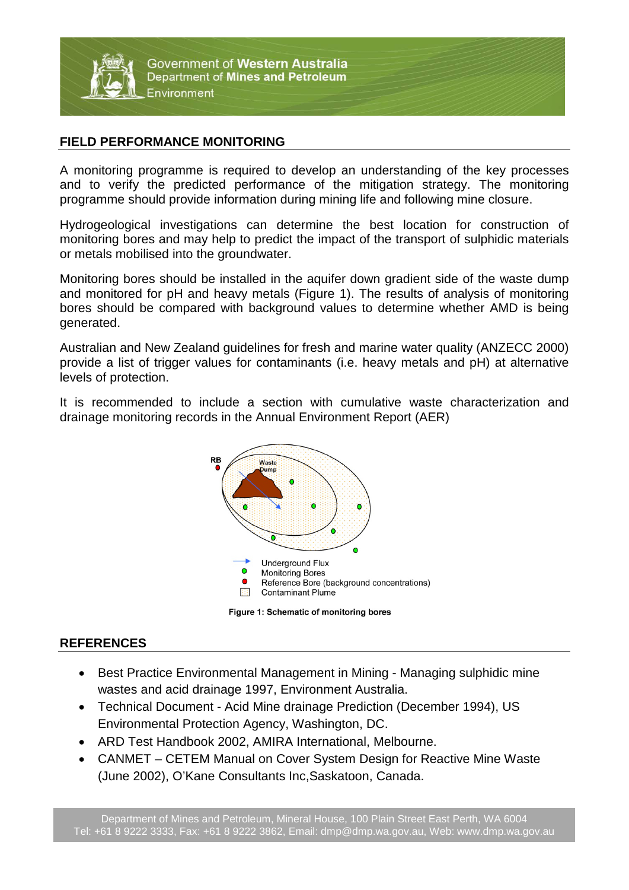

Government of Western Australia Department of Mines and Petroleum Environment

### **FIELD PERFORMANCE MONITORING**

A monitoring programme is required to develop an understanding of the key processes and to verify the predicted performance of the mitigation strategy. The monitoring programme should provide information during mining life and following mine closure.

Hydrogeological investigations can determine the best location for construction of monitoring bores and may help to predict the impact of the transport of sulphidic materials or metals mobilised into the groundwater.

Monitoring bores should be installed in the aquifer down gradient side of the waste dump and monitored for pH and heavy metals (Figure 1). The results of analysis of monitoring bores should be compared with background values to determine whether AMD is being generated.

Australian and New Zealand guidelines for fresh and marine water quality (ANZECC 2000) provide a list of trigger values for contaminants (i.e. heavy metals and pH) at alternative levels of protection.

It is recommended to include a section with cumulative waste characterization and drainage monitoring records in the Annual Environment Report (AER)





#### **REFERENCES**

- Best Practice Environmental Management in Mining Managing sulphidic mine wastes and acid drainage 1997, Environment Australia.
- Technical Document Acid Mine drainage Prediction (December 1994), US Environmental Protection Agency, Washington, DC.
- ARD Test Handbook 2002, AMIRA International, Melbourne.
- CANMET CETEM Manual on Cover System Design for Reactive Mine Waste (June 2002), O'Kane Consultants Inc,Saskatoon, Canada.

Department of Mines and Petroleum, Mineral House, 100 Plain Street East Perth, WA 6004 Tel: +61 8 9222 3333, Fax: +61 8 9222 3862, Email: dmp@dmp.wa.gov.au, Web: www.dmp.wa.gov.au